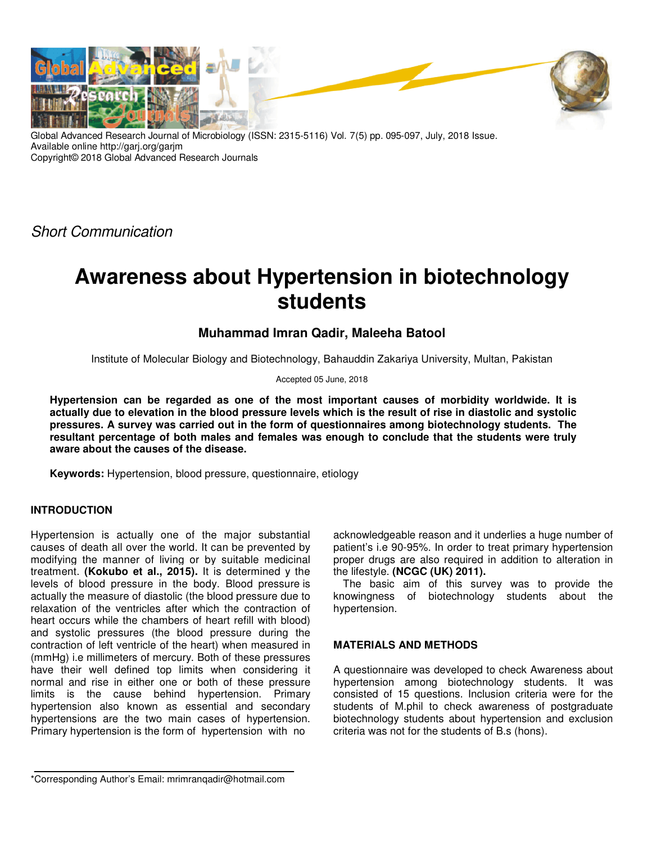

Global Advanced Research Journal of Microbiology (ISSN: 2315-5116) Vol. 7(5) pp. 095-097, July, 2018 Issue. Available online http://garj.org/garjm Copyright© 2018 Global Advanced Research Journals

Short Communication

# **Awareness about Hypertension in biotechnology students**

## **Muhammad Imran Qadir, Maleeha Batool**

Institute of Molecular Biology and Biotechnology, Bahauddin Zakariya University, Multan, Pakistan

Accepted 05 June, 2018

**Hypertension can be regarded as one of the most important causes of morbidity worldwide. It is actually due to elevation in the blood pressure levels which is the result of rise in diastolic and systolic pressures. A survey was carried out in the form of questionnaires among biotechnology students. The resultant percentage of both males and females was enough to conclude that the students were truly aware about the causes of the disease.** 

**Keywords:** Hypertension, blood pressure, questionnaire, etiology

## **INTRODUCTION**

Hypertension is actually one of the major substantial causes of death all over the world. It can be prevented by modifying the manner of living or by suitable medicinal treatment. **(Kokubo et al., 2015).** It is determined y the levels of blood pressure in the body. Blood pressure is actually the measure of diastolic (the blood pressure due to relaxation of the ventricles after which the contraction of heart occurs while the chambers of heart refill with blood) and systolic pressures (the blood pressure during the contraction of left ventricle of the heart) when measured in (mmHg) i.e millimeters of mercury. Both of these pressures have their well defined top limits when considering it normal and rise in either one or both of these pressure limits is the cause behind hypertension. Primary hypertension also known as essential and secondary hypertensions are the two main cases of hypertension. Primary hypertension is the form of hypertension with no

acknowledgeable reason and it underlies a huge number of patient's i.e 90-95%. In order to treat primary hypertension proper drugs are also required in addition to alteration in the lifestyle. **(NCGC (UK) 2011).**

The basic aim of this survey was to provide the knowingness of biotechnology students about the hypertension.

### **MATERIALS AND METHODS**

A questionnaire was developed to check Awareness about hypertension among biotechnology students. It was consisted of 15 questions. Inclusion criteria were for the students of M.phil to check awareness of postgraduate biotechnology students about hypertension and exclusion criteria was not for the students of B.s (hons).

\*Corresponding Author's Email: mrimranqadir@hotmail.com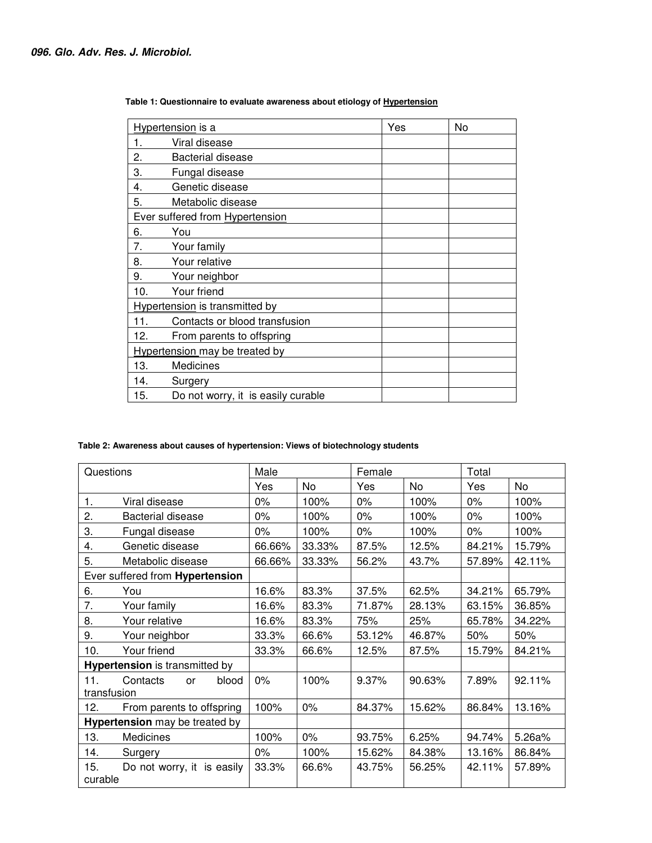| Hypertension is a                     |                                    | Yes | No |  |
|---------------------------------------|------------------------------------|-----|----|--|
| 1.                                    | Viral disease                      |     |    |  |
| 2.                                    | <b>Bacterial disease</b>           |     |    |  |
| 3.                                    | Fungal disease                     |     |    |  |
| 4.                                    | Genetic disease                    |     |    |  |
| 5.                                    | Metabolic disease                  |     |    |  |
| Ever suffered from Hypertension       |                                    |     |    |  |
| 6.                                    | You                                |     |    |  |
| 7.                                    | Your family                        |     |    |  |
| 8.                                    | Your relative                      |     |    |  |
| 9.                                    | Your neighbor                      |     |    |  |
| 10.                                   | Your friend                        |     |    |  |
| <b>Hypertension</b> is transmitted by |                                    |     |    |  |
| 11.                                   | Contacts or blood transfusion      |     |    |  |
| 12.                                   | From parents to offspring          |     |    |  |
| <b>Hypertension</b> may be treated by |                                    |     |    |  |
| 13.                                   | Medicines                          |     |    |  |
| 14.                                   | Surgery                            |     |    |  |
| 15.                                   | Do not worry, it is easily curable |     |    |  |

 **Table 1: Questionnaire to evaluate awareness about etiology of Hypertension**

## **Table 2: Awareness about causes of hypertension: Views of biotechnology students**

| Questions                       |                            | Male   |        | Female |        | Total  |        |
|---------------------------------|----------------------------|--------|--------|--------|--------|--------|--------|
|                                 |                            | Yes    | No     | Yes    | No     | Yes    | No     |
| 1.                              | Viral disease              |        | 100%   | $0\%$  | 100%   | $0\%$  | 100%   |
| 2.                              | <b>Bacterial disease</b>   | $0\%$  | 100%   | $0\%$  | 100%   | $0\%$  | 100%   |
| 3.<br>Fungal disease            |                            | $0\%$  | 100%   | $0\%$  | 100%   | 0%     | 100%   |
| Genetic disease<br>4.           |                            | 66.66% | 33.33% | 87.5%  | 12.5%  | 84.21% | 15.79% |
| 5.                              | Metabolic disease          |        | 33.33% | 56.2%  | 43.7%  | 57.89% | 42.11% |
| Ever suffered from Hypertension |                            |        |        |        |        |        |        |
| 6.                              | You                        | 16.6%  | 83.3%  | 37.5%  | 62.5%  | 34.21% | 65.79% |
| 7.                              | Your family                | 16.6%  | 83.3%  | 71.87% | 28.13% | 63.15% | 36.85% |
| 8.                              | Your relative              | 16.6%  | 83.3%  | 75%    | 25%    | 65.78% | 34.22% |
| 9.                              | Your neighbor              | 33.3%  | 66.6%  | 53.12% | 46.87% | 50%    | 50%    |
| 10.                             | Your friend                | 33.3%  | 66.6%  | 12.5%  | 87.5%  | 15.79% | 84.21% |
| Hypertension is transmitted by  |                            |        |        |        |        |        |        |
| 11.<br>transfusion              | Contacts<br>blood<br>or    | $0\%$  | 100%   | 9.37%  | 90.63% | 7.89%  | 92.11% |
| 12.                             | From parents to offspring  | 100%   | $0\%$  | 84.37% | 15.62% | 86.84% | 13.16% |
| Hypertension may be treated by  |                            |        |        |        |        |        |        |
| 13.                             | Medicines                  | 100%   | $0\%$  | 93.75% | 6.25%  | 94.74% | 5.26a% |
| 14.                             | Surgery                    | $0\%$  | 100%   | 15.62% | 84.38% | 13.16% | 86.84% |
| 15.<br>curable                  | Do not worry, it is easily | 33.3%  | 66.6%  | 43.75% | 56.25% | 42.11% | 57.89% |